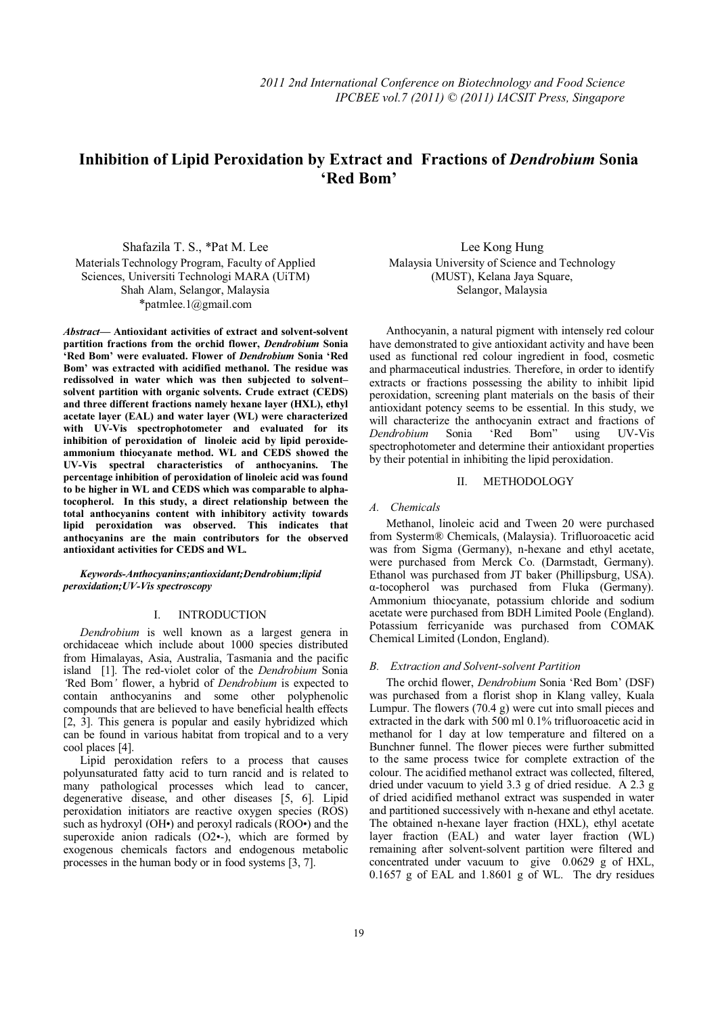# **Inhibition of Lipid Peroxidation by Extract and Fractions of** *Dendrobium* **Sonia 'Red Bom'**

Shafazila T. S., \*Pat M. Lee Materials Technology Program, Faculty of Applied Sciences, Universiti Technologi MARA (UiTM) Shah Alam, Selangor, Malaysia \*patmlee.1@gmail.com

*Abstract***— Antioxidant activities of extract and solvent-solvent partition fractions from the orchid flower,** *Dendrobium* **Sonia 'Red Bom' were evaluated. Flower of** *Dendrobium* **Sonia 'Red Bom' was extracted with acidified methanol. The residue was redissolved in water which was then subjected to solvent– solvent partition with organic solvents. Crude extract (CEDS) and three different fractions namely hexane layer (HXL), ethyl acetate layer (EAL) and water layer (WL) were characterized with UV-Vis spectrophotometer and evaluated for its inhibition of peroxidation of linoleic acid by lipid peroxideammonium thiocyanate method. WL and CEDS showed the UV-Vis spectral characteristics of anthocyanins. The percentage inhibition of peroxidation of linoleic acid was found to be higher in WL and CEDS which was comparable to alphatocopherol. In this study, a direct relationship between the total anthocyanins content with inhibitory activity towards lipid peroxidation was observed. This indicates that anthocyanins are the main contributors for the observed antioxidant activities for CEDS and WL.** 

*Keywords-Anthocyanins;antioxidant;Dendrobium;lipid peroxidation;UV-Vis spectroscopy*

# I. INTRODUCTION

*Dendrobium* is well known as a largest genera in orchidaceae which include about 1000 species distributed from Himalayas, Asia, Australia, Tasmania and the pacific island [1]. The red-violet color of the *Dendrobium* Sonia *'*Red Bom*'* flower, a hybrid of *Dendrobium* is expected to contain anthocyanins and some other polyphenolic compounds that are believed to have beneficial health effects [2, 3]. This genera is popular and easily hybridized which can be found in various habitat from tropical and to a very cool places [4].

Lipid peroxidation refers to a process that causes polyunsaturated fatty acid to turn rancid and is related to many pathological processes which lead to cancer, degenerative disease, and other diseases [5, 6]. Lipid peroxidation initiators are reactive oxygen species (ROS) such as hydroxyl (OH•) and peroxyl radicals (ROO•) and the superoxide anion radicals (O2•-), which are formed by exogenous chemicals factors and endogenous metabolic processes in the human body or in food systems [3, 7].

Lee Kong Hung Malaysia University of Science and Technology (MUST), Kelana Jaya Square, Selangor, Malaysia

Anthocyanin, a natural pigment with intensely red colour have demonstrated to give antioxidant activity and have been used as functional red colour ingredient in food, cosmetic and pharmaceutical industries. Therefore, in order to identify extracts or fractions possessing the ability to inhibit lipid peroxidation, screening plant materials on the basis of their antioxidant potency seems to be essential. In this study, we will characterize the anthocyanin extract and fractions of *Dendrobium* Sonia 'Red Bom" using UV-Vis spectrophotometer and determine their antioxidant properties by their potential in inhibiting the lipid peroxidation.

# II. METHODOLOGY

## *A. Chemicals*

Methanol, linoleic acid and Tween 20 were purchased from Systerm® Chemicals, (Malaysia). Trifluoroacetic acid was from Sigma (Germany), n-hexane and ethyl acetate, were purchased from Merck Co. (Darmstadt, Germany). Ethanol was purchased from JT baker (Phillipsburg, USA). α-tocopherol was purchased from Fluka (Germany). Ammonium thiocyanate, potassium chloride and sodium acetate were purchased from BDH Limited Poole (England). Potassium ferricyanide was purchased from COMAK Chemical Limited (London, England).

### *B. Extraction and Solvent-solvent Partition*

The orchid flower, *Dendrobium* Sonia 'Red Bom' (DSF) was purchased from a florist shop in Klang valley, Kuala Lumpur. The flowers (70.4 g) were cut into small pieces and extracted in the dark with 500 ml 0.1% trifluoroacetic acid in methanol for 1 day at low temperature and filtered on a Bunchner funnel. The flower pieces were further submitted to the same process twice for complete extraction of the colour. The acidified methanol extract was collected, filtered, dried under vacuum to yield 3.3 g of dried residue. A 2.3 g of dried acidified methanol extract was suspended in water and partitioned successively with n-hexane and ethyl acetate. The obtained n-hexane layer fraction (HXL), ethyl acetate layer fraction (EAL) and water layer fraction (WL) remaining after solvent-solvent partition were filtered and concentrated under vacuum to give 0.0629 g of HXL, 0.1657 g of EAL and 1.8601 g of WL. The dry residues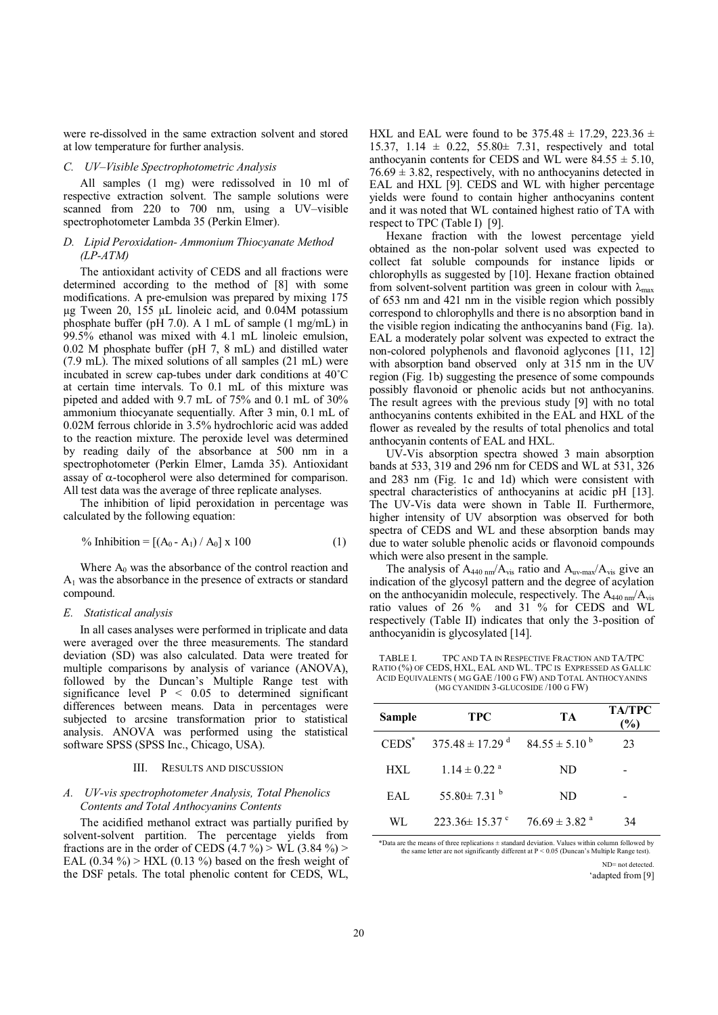were re-dissolved in the same extraction solvent and stored at low temperature for further analysis.

### *C. UV–Visible Spectrophotometric Analysis*

All samples (1 mg) were redissolved in 10 ml of respective extraction solvent. The sample solutions were scanned from 220 to 700 nm, using a UV–visible spectrophotometer Lambda 35 (Perkin Elmer).

# *D. Lipid Peroxidation- Ammonium Thiocyanate Method (LP-ATM)*

The antioxidant activity of CEDS and all fractions were determined according to the method of [8] with some modifications. A pre-emulsion was prepared by mixing 175 μg Tween 20, 155 μL linoleic acid, and 0.04M potassium phosphate buffer (pH 7.0). A 1 mL of sample (1 mg/mL) in 99.5% ethanol was mixed with 4.1 mL linoleic emulsion, 0.02 M phosphate buffer (pH 7, 8 mL) and distilled water (7.9 mL). The mixed solutions of all samples (21 mL) were incubated in screw cap-tubes under dark conditions at 40˚C at certain time intervals. To 0.1 mL of this mixture was pipeted and added with 9.7 mL of 75% and 0.1 mL of 30% ammonium thiocyanate sequentially. After 3 min, 0.1 mL of 0.02M ferrous chloride in 3.5% hydrochloric acid was added to the reaction mixture. The peroxide level was determined by reading daily of the absorbance at 500 nm in a spectrophotometer (Perkin Elmer, Lamda 35). Antioxidant assay of α-tocopherol were also determined for comparison. All test data was the average of three replicate analyses.

The inhibition of lipid peroxidation in percentage was calculated by the following equation:

% Inhibition = 
$$
[(A_0 - A_1) / A_0] \times 100
$$
 (1)

Where  $A_0$  was the absorbance of the control reaction and  $A_1$  was the absorbance in the presence of extracts or standard compound.

#### *E. Statistical analysis*

In all cases analyses were performed in triplicate and data were averaged over the three measurements. The standard deviation (SD) was also calculated. Data were treated for multiple comparisons by analysis of variance (ANOVA), followed by the Duncan's Multiple Range test with significance level  $P \leq 0.05$  to determined significant differences between means. Data in percentages were subjected to arcsine transformation prior to statistical analysis. ANOVA was performed using the statistical software SPSS (SPSS Inc., Chicago, USA).

#### III. RESULTS AND DISCUSSION

### *A. UV-vis spectrophotometer Analysis, Total Phenolics Contents and Total Anthocyanins Contents*

The acidified methanol extract was partially purified by solvent-solvent partition. The percentage yields from fractions are in the order of CEDS  $(4.7\%)$   $>$  WL  $(3.84\%)$ EAL  $(0.34\%)$  > HXL  $(0.13\%)$  based on the fresh weight of the DSF petals. The total phenolic content for CEDS, WL,

HXL and EAL were found to be  $375.48 \pm 17.29$ ,  $223.36 \pm 17.29$ 15.37, 1.14  $\pm$  0.22, 55.80 $\pm$  7.31, respectively and total anthocyanin contents for CEDS and WL were  $84.55 \pm 5.10$ .  $76.69 \pm 3.82$ , respectively, with no anthocyanins detected in EAL and HXL [9]. CEDS and WL with higher percentage yields were found to contain higher anthocyanins content and it was noted that WL contained highest ratio of TA with respect to TPC (Table I) [9].

Hexane fraction with the lowest percentage yield obtained as the non-polar solvent used was expected to collect fat soluble compounds for instance lipids or chlorophylls as suggested by [10]. Hexane fraction obtained from solvent-solvent partition was green in colour with  $\lambda_{\text{max}}$ of 653 nm and 421 nm in the visible region which possibly correspond to chlorophylls and there is no absorption band in the visible region indicating the anthocyanins band (Fig. 1a). EAL a moderately polar solvent was expected to extract the non-colored polyphenols and flavonoid aglycones [11, 12] with absorption band observed only at 315 nm in the UV region (Fig. 1b) suggesting the presence of some compounds possibly flavonoid or phenolic acids but not anthocyanins. The result agrees with the previous study [9] with no total anthocyanins contents exhibited in the EAL and HXL of the flower as revealed by the results of total phenolics and total anthocyanin contents of EAL and HXL.

UV-Vis absorption spectra showed 3 main absorption bands at 533, 319 and 296 nm for CEDS and WL at 531, 326 and 283 nm (Fig. 1c and 1d) which were consistent with spectral characteristics of anthocyanins at acidic pH [13]. The UV-Vis data were shown in Table II. Furthermore, higher intensity of UV absorption was observed for both spectra of CEDS and WL and these absorption bands may due to water soluble phenolic acids or flavonoid compounds which were also present in the sample.

The analysis of  $A_{440 \text{ nm}}/A_{\text{vis}}$  ratio and  $A_{\text{uv-max}}/A_{\text{vis}}$  give an indication of the glycosyl pattern and the degree of acylation on the anthocyanidin molecule, respectively. The  $A_{440 \text{ nm}}/A_{\text{vis}}$ ratio values of 26 % and 31 % for CEDS and WL respectively (Table II) indicates that only the 3-position of anthocyanidin is glycosylated [14].

TABLE I. TPC AND TA IN RESPECTIVE FRACTION AND TA/TPC RATIO (%) OF CEDS, HXL, EAL AND WL. TPC IS EXPRESSED AS GALLIC ACID EQUIVALENTS ( MG GAE /100 G FW) AND TOTAL ANTHOCYANINS (MG CYANIDIN 3-GLUCOSIDE /100 G FW)

| Sample   | <b>TPC</b>                      | TA                            | <b>TA/TPC</b><br>(%) |
|----------|---------------------------------|-------------------------------|----------------------|
| $CEDS^*$ | $375.48 \pm 17.29$ <sup>d</sup> | $84.55 \pm 5.10^{b}$          | 23                   |
| HXL      | $1.14 \pm 0.22$ <sup>a</sup>    | ND                            |                      |
| EAL      | 55.80 $\pm$ 7.31 <sup>b</sup>   | ND                            |                      |
| WL       | $223.36 \pm 15.37$ °            | $76.69 \pm 3.82$ <sup>a</sup> | 34                   |

\*Data are the means of three replications ± standard deviation. Values within column followed by the same letter are not significantly different at P < 0.05 (Duncan's Multiple Range test).

> ND= not detected. 'adapted from [9]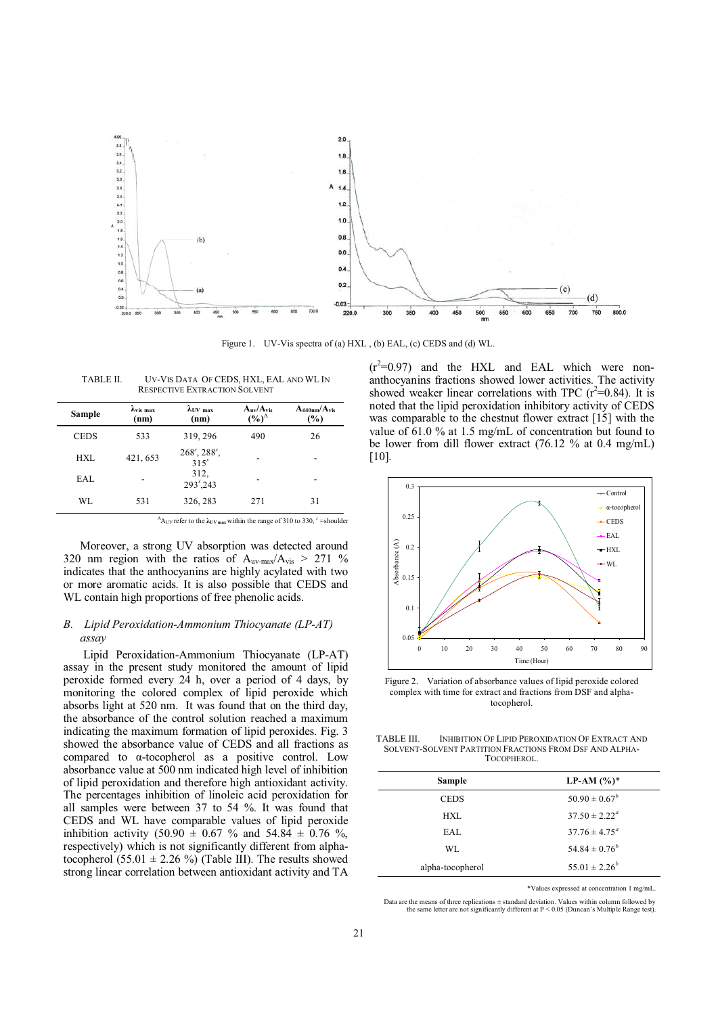

Figure 1. UV-Vis spectra of (a) HXL , (b) EAL, (c) CEDS and (d) WL.

| TABLE II.                            | UV-VIS DATA OF CEDS, HXL, EAL AND WL IN |  |
|--------------------------------------|-----------------------------------------|--|
| <b>RESPECTIVE EXTRACTION SOLVENT</b> |                                         |  |

| Sample      | $\lambda_{\rm vis \, max}$<br>(nm) | $\lambda$ UV max<br>(nm)         | $A_{uv}/A_{vis}$<br>$(\%)^A$ | $A_{440nm}/A_{vis}$<br>$(\%)$ |
|-------------|------------------------------------|----------------------------------|------------------------------|-------------------------------|
| <b>CEDS</b> | 533                                | 319, 296                         | 490                          | 26                            |
| <b>HXL</b>  | 421, 653                           | $268^s$ , $288^s$ ,<br>$315^{s}$ |                              | -                             |
| EAL.        |                                    | 312.<br>$293s$ , 243             |                              |                               |
| WL          | 531                                | 326, 283                         | 271                          | 31                            |

 $^{A}$ A<sub>UV</sub> refer to the  $\lambda$ <sub>UV max</sub> within the range of 310 to 330, <sup>s</sup> = shoulder

Moreover, a strong UV absorption was detected around 320 nm region with the ratios of  $A_{uv-max}/A_{vis} > 271$  % indicates that the anthocyanins are highly acylated with two or more aromatic acids. It is also possible that CEDS and WL contain high proportions of free phenolic acids.

# *B. Lipid Peroxidation-Ammonium Thiocyanate (LP-AT) assay*

 Lipid Peroxidation-Ammonium Thiocyanate (LP-AT) assay in the present study monitored the amount of lipid peroxide formed every 24 h, over a period of 4 days, by monitoring the colored complex of lipid peroxide which absorbs light at 520 nm. It was found that on the third day, the absorbance of the control solution reached a maximum indicating the maximum formation of lipid peroxides. Fig. 3 showed the absorbance value of CEDS and all fractions as compared to α-tocopherol as a positive control. Low absorbance value at 500 nm indicated high level of inhibition of lipid peroxidation and therefore high antioxidant activity. The percentages inhibition of linoleic acid peroxidation for all samples were between 37 to 54 %. It was found that CEDS and WL have comparable values of lipid peroxide inhibition activity (50.90  $\pm$  0.67 % and 54.84  $\pm$  0.76 %, respectively) which is not significantly different from alphatocopherol (55.01  $\pm$  2.26 %) (Table III). The results showed strong linear correlation between antioxidant activity and TA

 $(r^2=0.97)$  and the HXL and EAL which were nonanthocyanins fractions showed lower activities. The activity showed weaker linear correlations with TPC  $(r^2=0.84)$ . It is noted that the lipid peroxidation inhibitory activity of CEDS was comparable to the chestnut flower extract [15] with the value of 61.0 % at 1.5 mg/mL of concentration but found to be lower from dill flower extract (76.12 % at 0.4 mg/mL)  $[10]$ .



Figure 2. Variation of absorbance values of lipid peroxide colored complex with time for extract and fractions from DSF and alphatocopherol.

TABLE III. INHIBITION OF LIPID PEROXIDATION OF EXTRACT AND SOLVENT-SOLVENT PARTITION FRACTIONS FROM DSF AND ALPHA-TOCOPHEROL.

| Sample           | LP-AM $(\%)^*$           |
|------------------|--------------------------|
| <b>CEDS</b>      | $50.90 \pm 0.67^b$       |
| HXL              | $37.50 \pm 2.22^{\circ}$ |
| EAL              | $37.76 \pm 4.75^{\circ}$ |
| WL.              | $54.84 \pm 0.76^b$       |
| alpha-tocopherol | $55.01 \pm 2.26^b$       |

\*Values expressed at concentration 1 mg/mL.

Data are the means of three replications ± standard deviation. Values within column followed by the same letter are not significantly different at  $P < 0.05$  (Duncan's Multiple Range test).